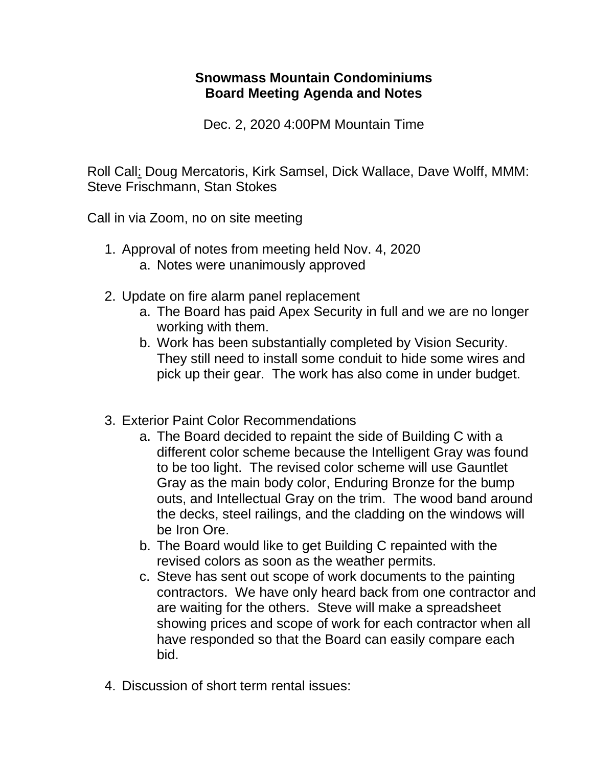## **Snowmass Mountain Condominiums Board Meeting Agenda and Notes**

Dec. 2, 2020 4:00PM Mountain Time

Roll Call: Doug Mercatoris, Kirk Samsel, Dick Wallace, Dave Wolff, MMM: Steve Frischmann, Stan Stokes

Call in via Zoom, no on site meeting

- 1. Approval of notes from meeting held Nov. 4, 2020 a. Notes were unanimously approved
- 2. Update on fire alarm panel replacement
	- a. The Board has paid Apex Security in full and we are no longer working with them.
	- b. Work has been substantially completed by Vision Security. They still need to install some conduit to hide some wires and pick up their gear. The work has also come in under budget.
- 3. Exterior Paint Color Recommendations
	- a. The Board decided to repaint the side of Building C with a different color scheme because the Intelligent Gray was found to be too light. The revised color scheme will use Gauntlet Gray as the main body color, Enduring Bronze for the bump outs, and Intellectual Gray on the trim. The wood band around the decks, steel railings, and the cladding on the windows will be Iron Ore.
	- b. The Board would like to get Building C repainted with the revised colors as soon as the weather permits.
	- c. Steve has sent out scope of work documents to the painting contractors. We have only heard back from one contractor and are waiting for the others. Steve will make a spreadsheet showing prices and scope of work for each contractor when all have responded so that the Board can easily compare each bid.
- 4. Discussion of short term rental issues: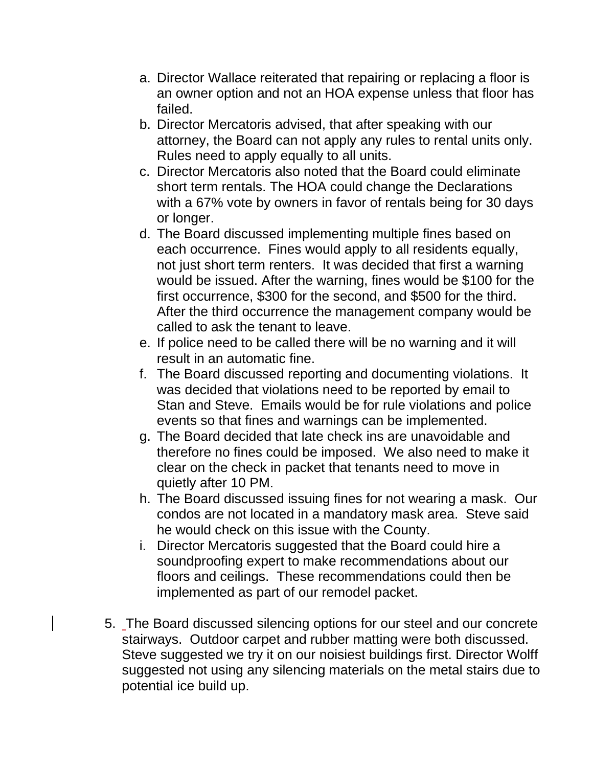- a. Director Wallace reiterated that repairing or replacing a floor is an owner option and not an HOA expense unless that floor has failed.
- b. Director Mercatoris advised, that after speaking with our attorney, the Board can not apply any rules to rental units only. Rules need to apply equally to all units.
- c. Director Mercatoris also noted that the Board could eliminate short term rentals. The HOA could change the Declarations with a 67% vote by owners in favor of rentals being for 30 days or longer.
- d. The Board discussed implementing multiple fines based on each occurrence. Fines would apply to all residents equally, not just short term renters. It was decided that first a warning would be issued. After the warning, fines would be \$100 for the first occurrence, \$300 for the second, and \$500 for the third. After the third occurrence the management company would be called to ask the tenant to leave.
- e. If police need to be called there will be no warning and it will result in an automatic fine.
- f. The Board discussed reporting and documenting violations. It was decided that violations need to be reported by email to Stan and Steve. Emails would be for rule violations and police events so that fines and warnings can be implemented.
- g. The Board decided that late check ins are unavoidable and therefore no fines could be imposed. We also need to make it clear on the check in packet that tenants need to move in quietly after 10 PM.
- h. The Board discussed issuing fines for not wearing a mask. Our condos are not located in a mandatory mask area. Steve said he would check on this issue with the County.
- i. Director Mercatoris suggested that the Board could hire a soundproofing expert to make recommendations about our floors and ceilings. These recommendations could then be implemented as part of our remodel packet.
- 5. The Board discussed silencing options for our steel and our concrete stairways. Outdoor carpet and rubber matting were both discussed. Steve suggested we try it on our noisiest buildings first. Director Wolff suggested not using any silencing materials on the metal stairs due to potential ice build up.